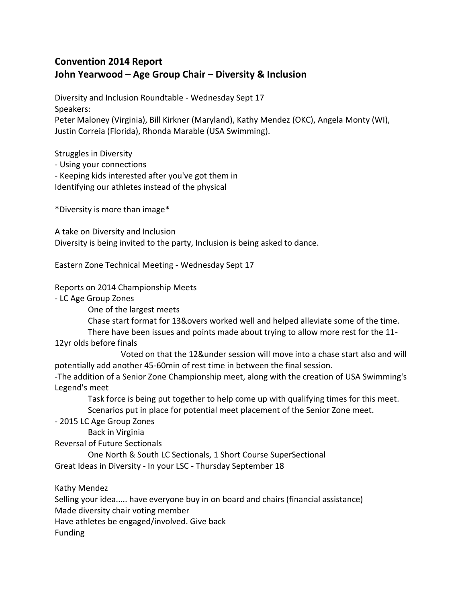## **Convention 2014 Report John Yearwood – Age Group Chair – Diversity & Inclusion**

Diversity and Inclusion Roundtable - Wednesday Sept 17 Speakers: Peter Maloney (Virginia), Bill Kirkner (Maryland), Kathy Mendez (OKC), Angela Monty (WI), Justin Correia (Florida), Rhonda Marable (USA Swimming).

Struggles in Diversity

- Using your connections

- Keeping kids interested after you've got them in

Identifying our athletes instead of the physical

\*Diversity is more than image\*

A take on Diversity and Inclusion Diversity is being invited to the party, Inclusion is being asked to dance.

Eastern Zone Technical Meeting - Wednesday Sept 17

Reports on 2014 Championship Meets

- LC Age Group Zones

One of the largest meets

Chase start format for 13&overs worked well and helped alleviate some of the time.

There have been issues and points made about trying to allow more rest for the 11-

12yr olds before finals

 Voted on that the 12&under session will move into a chase start also and will potentially add another 45-60min of rest time in between the final session.

-The addition of a Senior Zone Championship meet, along with the creation of USA Swimming's Legend's meet

 Task force is being put together to help come up with qualifying times for this meet. Scenarios put in place for potential meet placement of the Senior Zone meet.

- 2015 LC Age Group Zones

Back in Virginia

Reversal of Future Sectionals

 One North & South LC Sectionals, 1 Short Course SuperSectional Great Ideas in Diversity - In your LSC - Thursday September 18

Kathy Mendez

Selling your idea..... have everyone buy in on board and chairs (financial assistance)

Made diversity chair voting member

Have athletes be engaged/involved. Give back

Funding